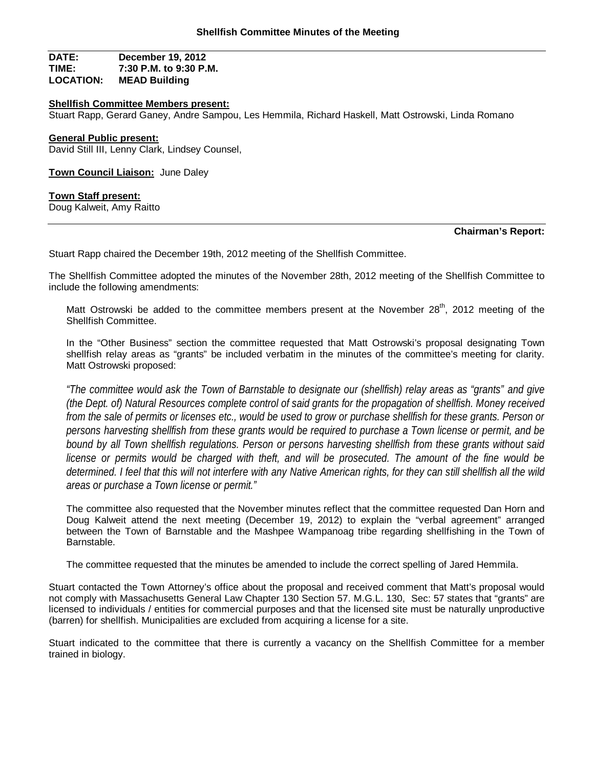# **DATE: December 19, 2012 TIME: 7:30 P.M. to 9:30 P.M. MEAD Building**

### **Shellfish Committee Members present:**

Stuart Rapp, Gerard Ganey, Andre Sampou, Les Hemmila, Richard Haskell, Matt Ostrowski, Linda Romano

#### **General Public present:**

David Still III, Lenny Clark, Lindsey Counsel,

**Town Council Liaison:** June Daley

#### **Town Staff present:**

Doug Kalweit, Amy Raitto

#### **Chairman's Report:**

Stuart Rapp chaired the December 19th, 2012 meeting of the Shellfish Committee.

The Shellfish Committee adopted the minutes of the November 28th, 2012 meeting of the Shellfish Committee to include the following amendments:

Matt Ostrowski be added to the committee members present at the November 28<sup>th</sup>, 2012 meeting of the Shellfish Committee.

In the "Other Business" section the committee requested that Matt Ostrowski's proposal designating Town shellfish relay areas as "grants" be included verbatim in the minutes of the committee's meeting for clarity. Matt Ostrowski proposed:

*"The committee would ask the Town of Barnstable to designate our (shellfish) relay areas as "grants" and give (the Dept. of) Natural Resources complete control of said grants for the propagation of shellfish. Money received*  from the sale of permits or licenses etc., would be used to grow or purchase shellfish for these grants. Person or *persons harvesting shellfish from these grants would be required to purchase a Town license or permit, and be bound by all Town shellfish regulations. Person or persons harvesting shellfish from these grants without said license or permits would be charged with theft, and will be prosecuted. The amount of the fine would be determined. I feel that this will not interfere with any Native American rights, for they can still shellfish all the wild areas or purchase a Town license or permit."*

The committee also requested that the November minutes reflect that the committee requested Dan Horn and Doug Kalweit attend the next meeting (December 19, 2012) to explain the "verbal agreement" arranged between the Town of Barnstable and the Mashpee Wampanoag tribe regarding shellfishing in the Town of Barnstable.

The committee requested that the minutes be amended to include the correct spelling of Jared Hemmila.

Stuart contacted the Town Attorney's office about the proposal and received comment that Matt's proposal would not comply with Massachusetts General Law Chapter 130 Section 57. M.G.L. 130, Sec: 57 states that "grants" are licensed to individuals / entities for commercial purposes and that the licensed site must be naturally unproductive (barren) for shellfish. Municipalities are excluded from acquiring a license for a site.

Stuart indicated to the committee that there is currently a vacancy on the Shellfish Committee for a member trained in biology.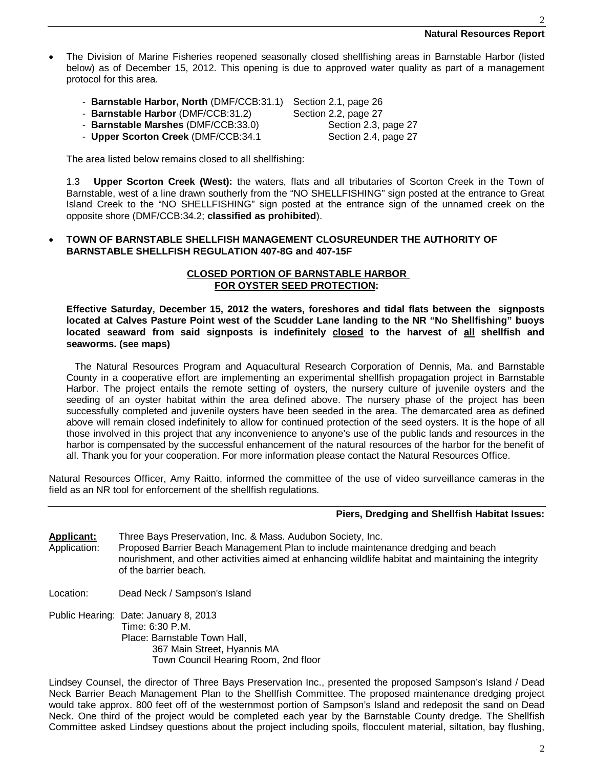- The Division of Marine Fisheries reopened seasonally closed shellfishing areas in Barnstable Harbor (listed below) as of December 15, 2012. This opening is due to approved water quality as part of a management protocol for this area.
	- **Barnstable Harbor, North** (DMF/CCB:31.1) Section 2.1, page 26
	- **Barnstable Harbor** (DMF/CCB:31.2) Section 2.2, page 27
	- **Barnstable Marshes** (DMF/CCB:33.0) Section 2.3, page 27
	- **Upper Scorton Creek** (DMF/CCB:34.1 Section 2.4, page 27

The area listed below remains closed to all shellfishing:

1.3 **Upper Scorton Creek (West):** the waters, flats and all tributaries of Scorton Creek in the Town of Barnstable, west of a line drawn southerly from the "NO SHELLFISHING" sign posted at the entrance to Great Island Creek to the "NO SHELLFISHING" sign posted at the entrance sign of the unnamed creek on the opposite shore (DMF/CCB:34.2; **classified as prohibited**).

# **TOWN OF BARNSTABLE SHELLFISH MANAGEMENT CLOSUREUNDER THE AUTHORITY OF BARNSTABLE SHELLFISH REGULATION 407-8G and 407-15F**

# **CLOSED PORTION OF BARNSTABLE HARBOR FOR OYSTER SEED PROTECTION:**

**Effective Saturday, December 15, 2012 the waters, foreshores and tidal flats between the signposts located at Calves Pasture Point west of the Scudder Lane landing to the NR "No Shellfishing" buoys located seaward from said signposts is indefinitely closed to the harvest of all shellfish and seaworms. (see maps)**

 The Natural Resources Program and Aquacultural Research Corporation of Dennis, Ma. and Barnstable County in a cooperative effort are implementing an experimental shellfish propagation project in Barnstable Harbor. The project entails the remote setting of oysters, the nursery culture of juvenile oysters and the seeding of an oyster habitat within the area defined above. The nursery phase of the project has been successfully completed and juvenile oysters have been seeded in the area. The demarcated area as defined above will remain closed indefinitely to allow for continued protection of the seed oysters. It is the hope of all those involved in this project that any inconvenience to anyone's use of the public lands and resources in the harbor is compensated by the successful enhancement of the natural resources of the harbor for the benefit of all. Thank you for your cooperation. For more information please contact the Natural Resources Office.

Natural Resources Officer, Amy Raitto, informed the committee of the use of video surveillance cameras in the field as an NR tool for enforcement of the shellfish regulations.

# **Piers, Dredging and Shellfish Habitat Issues:**

- **Applicant:** Three Bays Preservation, Inc. & Mass. Audubon Society, Inc. Application: Proposed Barrier Beach Management Plan to include maintenance dredging and beach nourishment, and other activities aimed at enhancing wildlife habitat and maintaining the integrity of the barrier beach.
- Location: Dead Neck / Sampson's Island
- Public Hearing: Date: January 8, 2013 Time: 6:30 P.M. Place: Barnstable Town Hall, 367 Main Street, Hyannis MA Town Council Hearing Room, 2nd floor

Lindsey Counsel, the director of Three Bays Preservation Inc., presented the proposed Sampson's Island / Dead Neck Barrier Beach Management Plan to the Shellfish Committee. The proposed maintenance dredging project would take approx. 800 feet off of the westernmost portion of Sampson's Island and redeposit the sand on Dead Neck. One third of the project would be completed each year by the Barnstable County dredge. The Shellfish Committee asked Lindsey questions about the project including spoils, flocculent material, siltation, bay flushing,